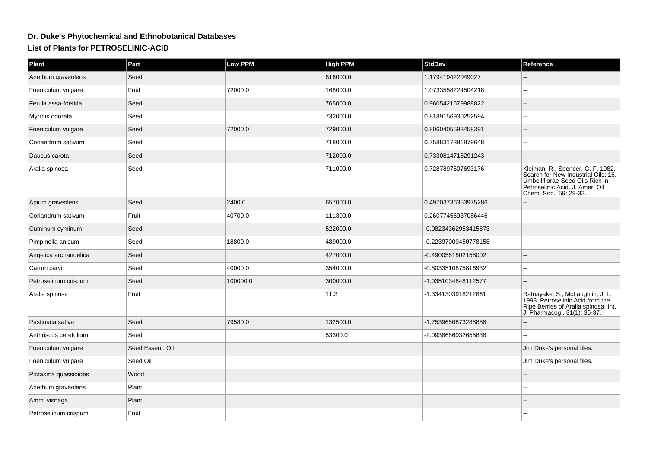## **Dr. Duke's Phytochemical and Ethnobotanical DatabasesList of Plants for PETROSELINIC-ACID**

| Part             | Low PPM  | <b>High PPM</b> | <b>StdDev</b>        | Reference                                                                                                                                                                |
|------------------|----------|-----------------|----------------------|--------------------------------------------------------------------------------------------------------------------------------------------------------------------------|
| Seed             |          | 816000.0        | 1.179419422049027    |                                                                                                                                                                          |
| Fruit            | 72000.0  | 168000.0        | 1.0733558224504218   |                                                                                                                                                                          |
| Seed             |          | 765000.0        | 0.9605421579988822   |                                                                                                                                                                          |
| Seed             |          | 732000.0        | 0.8189156930252594   |                                                                                                                                                                          |
| Seed             | 72000.0  | 729000.0        | 0.8060405598458391   |                                                                                                                                                                          |
| Seed             |          | 718000.0        | 0.7588317381879648   | $\overline{a}$                                                                                                                                                           |
| Seed             |          | 712000.0        | 0.7330814718291243   |                                                                                                                                                                          |
| Seed             |          | 711000.0        | 0.7287897607693176   | Kleiman, R., Spencer, G. F. 1982.<br>Search for New Industrial Oils: 16.<br>Umbelliflorae-Seed Oils Rich in<br>Petroselinic Acid. J. Amer. Oil<br>Chem. Soc., 59: 29-32. |
| Seed             | 2400.0   | 657000.0        | 0.49703736353975286  |                                                                                                                                                                          |
| Fruit            | 40700.0  | 111300.0        | 0.26077456937086446  |                                                                                                                                                                          |
| Seed             |          | 522000.0        | -0.08234362953415873 |                                                                                                                                                                          |
| Seed             | 18800.0  | 489000.0        | -0.22397009450778158 |                                                                                                                                                                          |
| Seed             |          | 427000.0        | -0.4900561802158002  |                                                                                                                                                                          |
| Seed             | 40000.0  | 354000.0        | -0.8033510875816932  | $\overline{a}$                                                                                                                                                           |
| Seed             | 100000.0 | 300000.0        | -1.0351034848112577  |                                                                                                                                                                          |
| Fruit            |          | 11.3            | -1.3341303918212861  | Ratnayake, S., McLaughlin, J. L.<br>1993. Petroselinic Acid from the<br>Ripe Berries of Aralia spinosa. Int.<br>J. Pharmacog., 31(1): 35-37.                             |
| Seed             | 79580.0  | 132500.0        | -1.7539650873288888  |                                                                                                                                                                          |
| Seed             |          | 53300.0         | -2.0938686032655838  |                                                                                                                                                                          |
| Seed Essent. Oil |          |                 |                      | Jim Duke's personal files.                                                                                                                                               |
| Seed Oil         |          |                 |                      | Jim Duke's personal files.                                                                                                                                               |
| Wood             |          |                 |                      |                                                                                                                                                                          |
| Plant            |          |                 |                      |                                                                                                                                                                          |
| Plant            |          |                 |                      |                                                                                                                                                                          |
| Fruit            |          |                 |                      |                                                                                                                                                                          |
|                  |          |                 |                      |                                                                                                                                                                          |